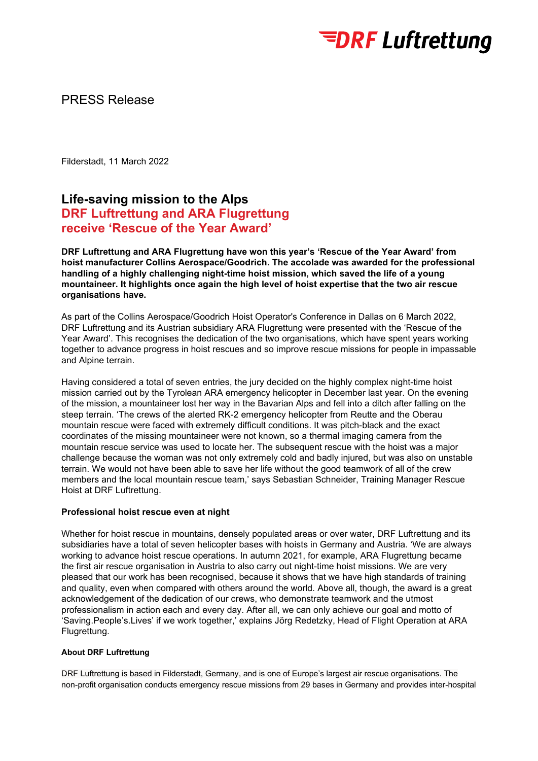

## PRESS Release

Filderstadt, 11 March 2022

# **Life-saving mission to the Alps DRF Luftrettung and ARA Flugrettung receive 'Rescue of the Year Award'**

**DRF Luftrettung and ARA Flugrettung have won this year's 'Rescue of the Year Award' from hoist manufacturer Collins Aerospace/Goodrich. The accolade was awarded for the professional handling of a highly challenging night-time hoist mission, which saved the life of a young mountaineer. It highlights once again the high level of hoist expertise that the two air rescue organisations have.**

As part of the Collins Aerospace/Goodrich Hoist Operator's Conference in Dallas on 6 March 2022, DRF Luftrettung and its Austrian subsidiary ARA Flugrettung were presented with the 'Rescue of the Year Award'. This recognises the dedication of the two organisations, which have spent years working together to advance progress in hoist rescues and so improve rescue missions for people in impassable and Alpine terrain.

Having considered a total of seven entries, the jury decided on the highly complex night-time hoist mission carried out by the Tyrolean ARA emergency helicopter in December last year. On the evening of the mission, a mountaineer lost her way in the Bavarian Alps and fell into a ditch after falling on the steep terrain. 'The crews of the alerted RK-2 emergency helicopter from Reutte and the Oberau mountain rescue were faced with extremely difficult conditions. It was pitch-black and the exact coordinates of the missing mountaineer were not known, so a thermal imaging camera from the mountain rescue service was used to locate her. The subsequent rescue with the hoist was a major challenge because the woman was not only extremely cold and badly injured, but was also on unstable terrain. We would not have been able to save her life without the good teamwork of all of the crew members and the local mountain rescue team,' says Sebastian Schneider, Training Manager Rescue Hoist at DRF Luftrettung.

#### **Professional hoist rescue even at night**

Whether for hoist rescue in mountains, densely populated areas or over water, DRF Luftrettung and its subsidiaries have a total of seven helicopter bases with hoists in Germany and Austria. 'We are always working to advance hoist rescue operations. In autumn 2021, for example, ARA Flugrettung became the first air rescue organisation in Austria to also carry out night-time hoist missions. We are very pleased that our work has been recognised, because it shows that we have high standards of training and quality, even when compared with others around the world. Above all, though, the award is a great acknowledgement of the dedication of our crews, who demonstrate teamwork and the utmost professionalism in action each and every day. After all, we can only achieve our goal and motto of 'Saving.People's.Lives' if we work together,' explains Jörg Redetzky, Head of Flight Operation at ARA Flugrettung.

### **About DRF Luftrettung**

DRF Luftrettung is based in Filderstadt, Germany, and is one of Europe's largest air rescue organisations. The non-profit organisation conducts emergency rescue missions from 29 bases in Germany and provides inter-hospital